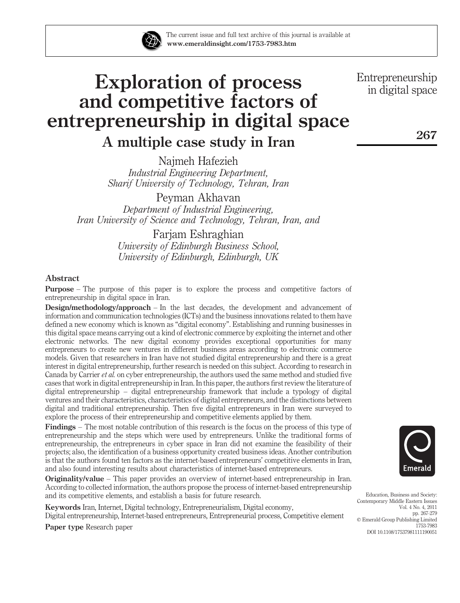

The current issue and full text archive of this journal is available at www.emeraldinsight.com/1753-7983.htm

# Exploration of process and competitive factors of entrepreneurship in digital space

## A multiple case study in Iran

Najmeh Hafezieh Industrial Engineering Department, Sharif University of Technology, Tehran, Iran

Peyman Akhavan Department of Industrial Engineering, Iran University of Science and Technology, Tehran, Iran, and

> Farjam Eshraghian University of Edinburgh Business School, University of Edinburgh, Edinburgh, UK

#### Abstract

Purpose – The purpose of this paper is to explore the process and competitive factors of entrepreneurship in digital space in Iran.

Design/methodology/approach – In the last decades, the development and advancement of information and communication technologies (ICTs) and the business innovations related to them have defined a new economy which is known as "digital economy". Establishing and running businesses in this digital space means carrying out a kind of electronic commerce by exploiting the internet and other electronic networks. The new digital economy provides exceptional opportunities for many entrepreneurs to create new ventures in different business areas according to electronic commerce models. Given that researchers in Iran have not studied digital entrepreneurship and there is a great interest in digital entrepreneurship, further research is needed on this subject. According to research in Canada by Carrier et al. on cyber entrepreneurship, the authors used the same method and studied five cases that work in digital entrepreneurship in Iran. In this paper, the authors first review the literature of digital entrepreneurship – digital entrepreneurship framework that include a typology of digital ventures and their characteristics, characteristics of digital entrepreneurs, and the distinctions between digital and traditional entrepreneurship. Then five digital entrepreneurs in Iran were surveyed to explore the process of their entrepreneurship and competitive elements applied by them.

Findings – The most notable contribution of this research is the focus on the process of this type of entrepreneurship and the steps which were used by entrepreneurs. Unlike the traditional forms of entrepreneurship, the entrepreneurs in cyber space in Iran did not examine the feasibility of their projects; also, the identification of a business opportunity created business ideas. Another contribution is that the authors found ten factors as the internet-based entrepreneurs' competitive elements in Iran, and also found interesting results about characteristics of internet-based entrepreneurs.

Originality/value – This paper provides an overview of internet-based entrepreneurship in Iran. According to collected information, the authors propose the process of internet-based entrepreneurship and its competitive elements, and establish a basis for future research.

Keywords Iran, Internet, Digital technology, Entrepreneurialism, Digital economy, Digital entrepreneurship, Internet-based entrepreneurs, Entrepreneurial process, Competitive element

Paper type Research paper

Entrepreneurship in digital space

267



Education, Business and Society: Contemporary Middle Eastern Issues Vol. 4 No. 4, 2011 pp. 267-279 q Emerald Group Publishing Limited 1753-7983 DOI 10.1108/17537981111190051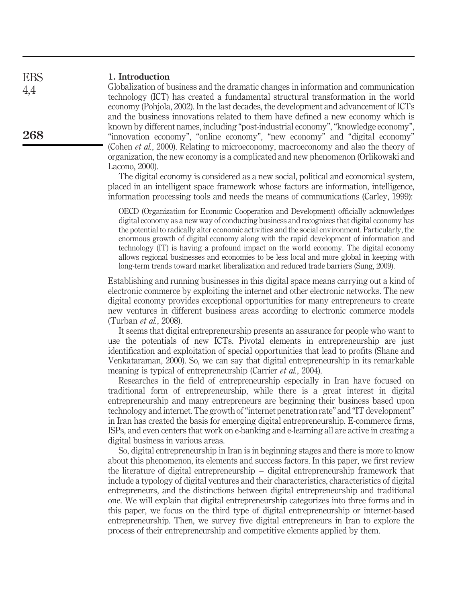#### 1. Introduction

Globalization of business and the dramatic changes in information and communication technology (ICT) has created a fundamental structural transformation in the world economy (Pohjola, 2002). In the last decades, the development and advancement of ICTs and the business innovations related to them have defined a new economy which is known by different names, including "post-industrial economy", "knowledge economy", "innovation economy", "online economy", "new economy" and "digital economy" (Cohen et al., 2000). Relating to microeconomy, macroeconomy and also the theory of organization, the new economy is a complicated and new phenomenon (Orlikowski and Lacono, 2000).

The digital economy is considered as a new social, political and economical system, placed in an intelligent space framework whose factors are information, intelligence, information processing tools and needs the means of communications (Carley, 1999):

OECD (Organization for Economic Cooperation and Development) officially acknowledges digital economy as a new way of conducting business and recognizes that digital economy has the potential to radically alter economic activities and the social environment. Particularly, the enormous growth of digital economy along with the rapid development of information and technology (IT) is having a profound impact on the world economy. The digital economy allows regional businesses and economies to be less local and more global in keeping with long-term trends toward market liberalization and reduced trade barriers (Sung, 2009).

Establishing and running businesses in this digital space means carrying out a kind of electronic commerce by exploiting the internet and other electronic networks. The new digital economy provides exceptional opportunities for many entrepreneurs to create new ventures in different business areas according to electronic commerce models (Turban et al., 2008).

It seems that digital entrepreneurship presents an assurance for people who want to use the potentials of new ICTs. Pivotal elements in entrepreneurship are just identification and exploitation of special opportunities that lead to profits (Shane and Venkataraman, 2000). So, we can say that digital entrepreneurship in its remarkable meaning is typical of entrepreneurship (Carrier *et al.*, 2004).

Researches in the field of entrepreneurship especially in Iran have focused on traditional form of entrepreneurship, while there is a great interest in digital entrepreneurship and many entrepreneurs are beginning their business based upon technology and internet. The growth of "internet penetration rate" and "IT development" in Iran has created the basis for emerging digital entrepreneurship. E-commerce firms, ISPs, and even centers that work on e-banking and e-learning all are active in creating a digital business in various areas.

So, digital entrepreneurship in Iran is in beginning stages and there is more to know about this phenomenon, its elements and success factors. In this paper, we first review the literature of digital entrepreneurship – digital entrepreneurship framework that include a typology of digital ventures and their characteristics, characteristics of digital entrepreneurs, and the distinctions between digital entrepreneurship and traditional one. We will explain that digital entrepreneurship categorizes into three forms and in this paper, we focus on the third type of digital entrepreneurship or internet-based entrepreneurship. Then, we survey five digital entrepreneurs in Iran to explore the process of their entrepreneurship and competitive elements applied by them.

EBS 4,4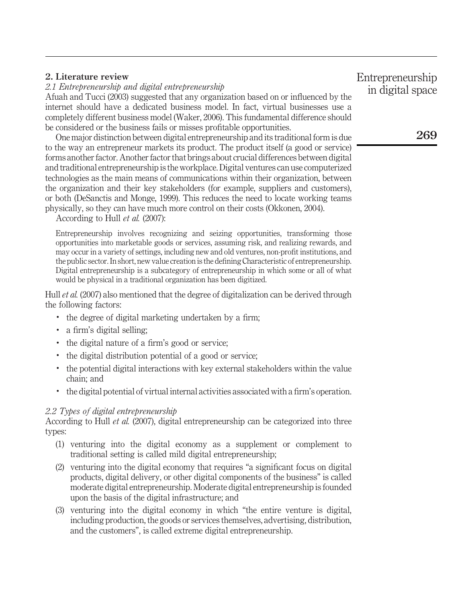#### 2. Literature review

2.1 Entrepreneurship and digital entrepreneurship

Afuah and Tucci (2003) suggested that any organization based on or influenced by the internet should have a dedicated business model. In fact, virtual businesses use a completely different business model (Waker, 2006). This fundamental difference should be considered or the business fails or misses profitable opportunities.

One major distinction between digital entrepreneurship and its traditional form is due to the way an entrepreneur markets its product. The product itself (a good or service) forms another factor. Another factor that brings about crucial differences between digital and traditional entrepreneurship is the workplace. Digital ventures can use computerized technologies as the main means of communications within their organization, between the organization and their key stakeholders (for example, suppliers and customers), or both (DeSanctis and Monge, 1999). This reduces the need to locate working teams physically, so they can have much more control on their costs (Okkonen, 2004).

According to Hull et al. (2007):

Entrepreneurship involves recognizing and seizing opportunities, transforming those opportunities into marketable goods or services, assuming risk, and realizing rewards, and may occur in a variety of settings, including new and old ventures, non-profit institutions, and the public sector. In short, new value creation is the defining Characteristic of entrepreneurship. Digital entrepreneurship is a subcategory of entrepreneurship in which some or all of what would be physical in a traditional organization has been digitized.

Hull et al. (2007) also mentioned that the degree of digitalization can be derived through the following factors:

- . the degree of digital marketing undertaken by a firm;
- . a firm's digital selling;
- . the digital nature of a firm's good or service;
- . the digital distribution potential of a good or service;
- . the potential digital interactions with key external stakeholders within the value chain; and
- . the digital potential of virtual internal activities associated with a firm's operation.

### 2.2 Types of digital entrepreneurship

According to Hull et al. (2007), digital entrepreneurship can be categorized into three types:

- (1) venturing into the digital economy as a supplement or complement to traditional setting is called mild digital entrepreneurship;
- (2) venturing into the digital economy that requires "a significant focus on digital products, digital delivery, or other digital components of the business" is called moderate digital entrepreneurship. Moderate digital entrepreneurship is founded upon the basis of the digital infrastructure; and
- (3) venturing into the digital economy in which "the entire venture is digital, including production, the goods or services themselves, advertising, distribution, and the customers", is called extreme digital entrepreneurship.

## Entrepreneurship in digital space

269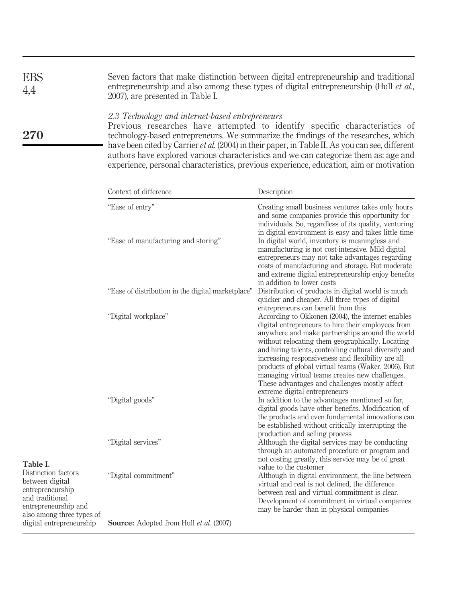Seven factors that make distinction between digital entrepreneurship and traditional entrepreneurship and also among these types of digital entrepreneurship (Hull *et al.*, 2007), are presented in Table I. EBS 4,4

#### 2.3 Technology and internet-based entrepreneurs

Previous researches have attempted to identify specific characteristics of technology-based entrepreneurs. We summarize the findings of the researches, which have been cited by Carrier et al. (2004) in their paper, in Table II. As you can see, different authors have explored various characteristics and we can categorize them as: age and experience, personal characteristics, previous experience, education, aim or motivation

|                                                                                                             | Context of difference                                  | Description                                                                                                                                                                                                                                                                                                                                                                                                                                                                                                                                                                                                        |  |
|-------------------------------------------------------------------------------------------------------------|--------------------------------------------------------|--------------------------------------------------------------------------------------------------------------------------------------------------------------------------------------------------------------------------------------------------------------------------------------------------------------------------------------------------------------------------------------------------------------------------------------------------------------------------------------------------------------------------------------------------------------------------------------------------------------------|--|
|                                                                                                             | "Ease of entry"<br>"Ease of manufacturing and storing" | Creating small business ventures takes only hours<br>and some companies provide this opportunity for<br>individuals. So, regardless of its quality, venturing<br>in digital environment is easy and takes little time<br>In digital world, inventory is meaningless and<br>manufacturing is not cost-intensive. Mild digital<br>entrepreneurs may not take advantages regarding<br>costs of manufacturing and storage. But moderate                                                                                                                                                                                |  |
|                                                                                                             | "Ease of distribution in the digital marketplace"      | and extreme digital entrepreneurship enjoy benefits<br>in addition to lower costs<br>Distribution of products in digital world is much<br>quicker and cheaper. All three types of digital                                                                                                                                                                                                                                                                                                                                                                                                                          |  |
|                                                                                                             | "Digital workplace"<br>"Digital goods"                 | entrepreneurs can benefit from this<br>According to Okkonen (2004), the internet enables<br>digital entrepreneurs to hire their employees from<br>anywhere and make partnerships around the world<br>without relocating them geographically. Locating<br>and hiring talents, controlling cultural diversity and<br>increasing responsiveness and flexibility are all<br>products of global virtual teams (Waker, 2006). But<br>managing virtual teams creates new challenges.<br>These advantages and challenges mostly affect<br>extreme digital entrepreneurs<br>In addition to the advantages mentioned so far, |  |
|                                                                                                             | "Digital services"                                     | digital goods have other benefits. Modification of<br>the products and even fundamental innovations can<br>be established without critically interrupting the<br>production and selling process<br>Although the digital services may be conducting                                                                                                                                                                                                                                                                                                                                                                 |  |
| Table I.<br>Distinction factors                                                                             | "Digital commitment"                                   | through an automated procedure or program and<br>not costing greatly, this service may be of great<br>value to the customer<br>Although in digital environment, the line between                                                                                                                                                                                                                                                                                                                                                                                                                                   |  |
| between digital<br>entrepreneurship<br>and traditional<br>entrepreneurship and<br>also among three types of |                                                        | virtual and real is not defined, the difference<br>between real and virtual commitment is clear.<br>Development of commitment in virtual companies<br>may be harder than in physical companies                                                                                                                                                                                                                                                                                                                                                                                                                     |  |
| digital entrepreneurship                                                                                    | <b>Source:</b> Adopted from Hull et al. (2007)         |                                                                                                                                                                                                                                                                                                                                                                                                                                                                                                                                                                                                                    |  |

270

Source: Adopted from Hull et al. (2007)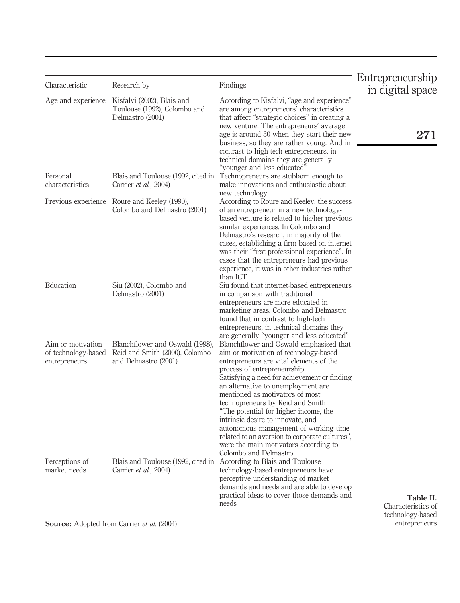| Characteristic                                            | Research by                                                                               | Findings                                                                                                                                                                                                                                                                                                                                                                                                                                                                                                                                                           | Entrepreneurship<br>in digital space |
|-----------------------------------------------------------|-------------------------------------------------------------------------------------------|--------------------------------------------------------------------------------------------------------------------------------------------------------------------------------------------------------------------------------------------------------------------------------------------------------------------------------------------------------------------------------------------------------------------------------------------------------------------------------------------------------------------------------------------------------------------|--------------------------------------|
| Age and experience                                        | Kisfalvi (2002), Blais and<br>Toulouse (1992), Colombo and<br>Delmastro (2001)            | According to Kisfalvi, "age and experience"<br>are among entrepreneurs' characteristics<br>that affect "strategic choices" in creating a<br>new venture. The entrepreneurs' average<br>age is around 30 when they start their new                                                                                                                                                                                                                                                                                                                                  | 271                                  |
|                                                           |                                                                                           | business, so they are rather young. And in<br>contrast to high-tech entrepreneurs, in<br>technical domains they are generally<br>"younger and less educated"                                                                                                                                                                                                                                                                                                                                                                                                       |                                      |
| Personal<br>characteristics                               | Blais and Toulouse (1992, cited in<br>Carrier et al., 2004)                               | Technopreneurs are stubborn enough to<br>make innovations and enthusiastic about<br>new technology                                                                                                                                                                                                                                                                                                                                                                                                                                                                 |                                      |
| Previous experience                                       | Roure and Keeley (1990).<br>Colombo and Delmastro (2001)                                  | According to Roure and Keeley, the success<br>of an entrepreneur in a new technology-<br>based venture is related to his/her previous<br>similar experiences. In Colombo and<br>Delmastro's research, in majority of the<br>cases, establishing a firm based on internet<br>was their "first professional experience". In<br>cases that the entrepreneurs had previous<br>experience, it was in other industries rather<br>than ICT                                                                                                                                |                                      |
| Education                                                 | Siu (2002), Colombo and<br>Delmastro (2001)                                               | Siu found that internet-based entrepreneurs<br>in comparison with traditional<br>entrepreneurs are more educated in<br>marketing areas. Colombo and Delmastro<br>found that in contrast to high-tech<br>entrepreneurs, in technical domains they<br>are generally "younger and less educated"                                                                                                                                                                                                                                                                      |                                      |
| Aim or motivation<br>of technology-based<br>entrepreneurs | Blanchflower and Oswald (1998),<br>Reid and Smith (2000), Colombo<br>and Delmastro (2001) | Blanchflower and Oswald emphasised that<br>aim or motivation of technology-based<br>entrepreneurs are vital elements of the<br>process of entrepreneurship<br>Satisfying a need for achievement or finding<br>an alternative to unemployment are<br>mentioned as motivators of most<br>technopreneurs by Reid and Smith<br>"The potential for higher income, the<br>intrinsic desire to innovate, and<br>autonomous management of working time<br>related to an aversion to corporate cultures",<br>were the main motivators according to<br>Colombo and Delmastro |                                      |
| Perceptions of<br>market needs                            | Carrier et al., 2004)                                                                     | Blais and Toulouse (1992, cited in According to Blais and Toulouse<br>technology-based entrepreneurs have<br>perceptive understanding of market<br>demands and needs and are able to develop<br>practical ideas to cover those demands and<br>needs                                                                                                                                                                                                                                                                                                                | Table II.<br>Characteristics of      |
|                                                           | <b>Source:</b> Adopted from Carrier et al. (2004)                                         |                                                                                                                                                                                                                                                                                                                                                                                                                                                                                                                                                                    | technology-based<br>entrepreneurs    |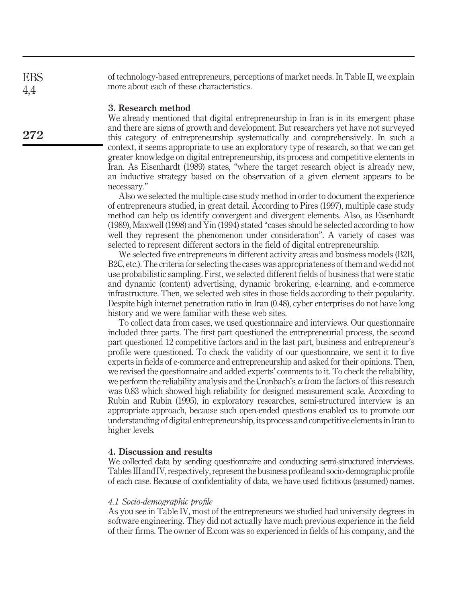of technology-based entrepreneurs, perceptions of market needs. In Table II, we explain more about each of these characteristics.

#### 3. Research method

We already mentioned that digital entrepreneurship in Iran is in its emergent phase and there are signs of growth and development. But researchers yet have not surveyed this category of entrepreneurship systematically and comprehensively. In such a context, it seems appropriate to use an exploratory type of research, so that we can get greater knowledge on digital entrepreneurship, its process and competitive elements in Iran. As Eisenhardt (1989) states, "where the target research object is already new, an inductive strategy based on the observation of a given element appears to be necessary."

Also we selected the multiple case study method in order to document the experience of entrepreneurs studied, in great detail. According to Pires (1997), multiple case study method can help us identify convergent and divergent elements. Also, as Eisenhardt (1989), Maxwell (1998) and Yin (1994) stated "cases should be selected according to how well they represent the phenomenon under consideration". A variety of cases was selected to represent different sectors in the field of digital entrepreneurship.

We selected five entrepreneurs in different activity areas and business models (B2B, B2C, etc.). The criteria for selecting the cases was appropriateness of them and we did not use probabilistic sampling. First, we selected different fields of business that were static and dynamic (content) advertising, dynamic brokering, e-learning, and e-commerce infrastructure. Then, we selected web sites in those fields according to their popularity. Despite high internet penetration ratio in Iran (0.48), cyber enterprises do not have long history and we were familiar with these web sites.

To collect data from cases, we used questionnaire and interviews. Our questionnaire included three parts. The first part questioned the entrepreneurial process, the second part questioned 12 competitive factors and in the last part, business and entrepreneur's profile were questioned. To check the validity of our questionnaire, we sent it to five experts in fields of e-commerce and entrepreneurship and asked for their opinions. Then, we revised the questionnaire and added experts' comments to it. To check the reliability, we perform the reliability analysis and the Cronbach's  $\alpha$  from the factors of this research was 0.83 which showed high reliability for designed measurement scale. According to Rubin and Rubin (1995), in exploratory researches, semi-structured interview is an appropriate approach, because such open-ended questions enabled us to promote our understanding of digital entrepreneurship, its process and competitive elements in Iran to higher levels.

#### 4. Discussion and results

We collected data by sending questionnaire and conducting semi-structured interviews. Tables III and IV, respectively, represent the business profile and socio-demographic profile of each case. Because of confidentiality of data, we have used fictitious (assumed) names.

#### 4.1 Socio-demographic profile

As you see in Table IV, most of the entrepreneurs we studied had university degrees in software engineering. They did not actually have much previous experience in the field of their firms. The owner of E.com was so experienced in fields of his company, and the

EBS 4,4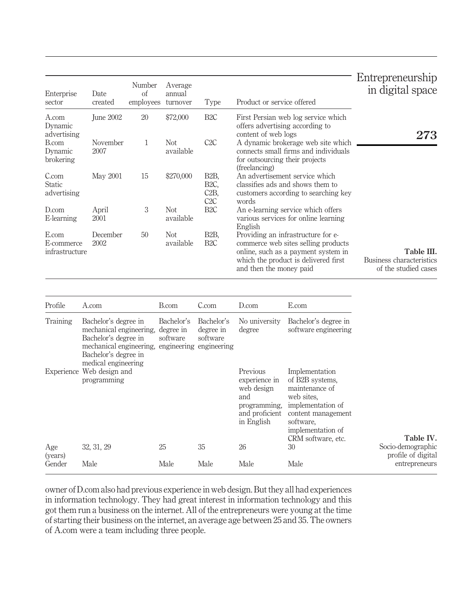| Enterprise<br>sector                  | Date<br>created  | Number<br>of<br>employees turnover | Average<br>annual       | Type                                                                          | Product or service offered                                                                                                                                                           | Entrepreneurship<br>in digital space                           |
|---------------------------------------|------------------|------------------------------------|-------------------------|-------------------------------------------------------------------------------|--------------------------------------------------------------------------------------------------------------------------------------------------------------------------------------|----------------------------------------------------------------|
| A.com<br>Dynamic<br>advertising       | <b>June 2002</b> | 20                                 | \$72,000                | B <sub>2</sub> C                                                              | First Persian web log service which<br>offers advertising according to<br>content of web logs                                                                                        | 273                                                            |
| B.com<br>Dynamic<br>brokering         | November<br>2007 | 1                                  | Not.<br>available       | C <sub>2</sub> C                                                              | A dynamic brokerage web site which<br>connects small firms and individuals<br>for outsourcing their projects<br>(freelancing)                                                        |                                                                |
| C.com<br>Static<br>advertising        | May 2001         | 15                                 | \$270,000               | B <sub>2</sub> B <sub>,</sub><br>B <sub>2</sub> C,<br>C2B<br>C <sub>2</sub> C | An advertisement service which<br>classifies ads and shows them to<br>customers according to searching key<br>words                                                                  |                                                                |
| D.com<br>E-learning                   | April<br>2001    | 3                                  | <b>Not</b><br>available | B <sub>2</sub> C                                                              | An e-learning service which offers<br>various services for online learning<br>English                                                                                                |                                                                |
| E.com<br>E-commerce<br>infrastructure | December<br>2002 | 50                                 | Not<br>available        | B <sub>2</sub> B <sub>,</sub><br>B <sub>2</sub> C                             | Providing an infrastructure for e-<br>commerce web sites selling products<br>online, such as a payment system in<br>which the product is delivered first.<br>and then the money paid | Table III.<br>Business characteristics<br>of the studied cases |

| Profile        | A.com                                                                                                                                                                               | B.com                  | C.com                               | D.com                                                                                          | E.com                                                                                                                                          |                                         |
|----------------|-------------------------------------------------------------------------------------------------------------------------------------------------------------------------------------|------------------------|-------------------------------------|------------------------------------------------------------------------------------------------|------------------------------------------------------------------------------------------------------------------------------------------------|-----------------------------------------|
| Training       | Bachelor's degree in<br>mechanical engineering, degree in<br>Bachelor's degree in<br>mechanical engineering, engineering engineering<br>Bachelor's degree in<br>medical engineering | Bachelor's<br>software | Bachelor's<br>degree in<br>software | No university<br>degree                                                                        | Bachelor's degree in<br>software engineering                                                                                                   |                                         |
|                | Experience Web design and<br>programming                                                                                                                                            |                        |                                     | Previous<br>experience in<br>web design<br>and<br>programming,<br>and proficient<br>in English | Implementation<br>of B2B systems,<br>maintenance of<br>web sites.<br>implementation of<br>content management<br>software.<br>implementation of | Table IV.                               |
| Age<br>(years) | 32, 31, 29                                                                                                                                                                          | 25                     | 35                                  | 26                                                                                             | CRM software, etc.<br>30                                                                                                                       | Socio-demographic<br>profile of digital |
| Gender         | Male                                                                                                                                                                                | Male                   | Male                                | Male                                                                                           | Male                                                                                                                                           | entrepreneurs                           |

owner of D.com also had previous experience in web design. But they all had experiences in information technology. They had great interest in information technology and this got them run a business on the internet. All of the entrepreneurs were young at the time of starting their business on the internet, an average age between 25 and 35. The owners of A.com were a team including three people.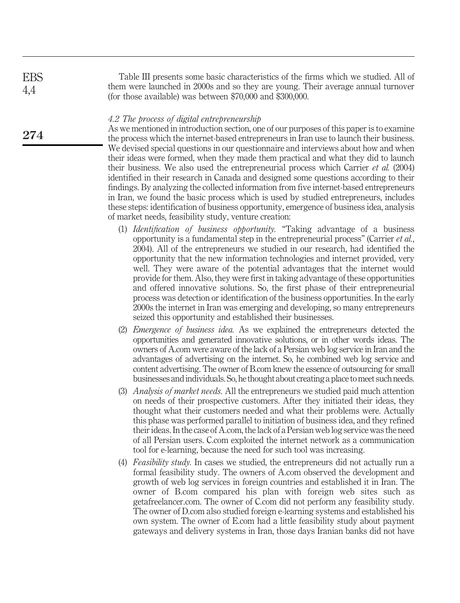Table III presents some basic characteristics of the firms which we studied. All of them were launched in 2000s and so they are young. Their average annual turnover (for those available) was between \$70,000 and \$300,000.

#### 4.2 The process of digital entrepreneurship

As we mentioned in introduction section, one of our purposes of this paper is to examine the process which the internet-based entrepreneurs in Iran use to launch their business. We devised special questions in our questionnaire and interviews about how and when their ideas were formed, when they made them practical and what they did to launch their business. We also used the entrepreneurial process which Carrier et al. (2004) identified in their research in Canada and designed some questions according to their findings. By analyzing the collected information from five internet-based entrepreneurs in Iran, we found the basic process which is used by studied entrepreneurs, includes these steps: identification of business opportunity, emergence of business idea, analysis of market needs, feasibility study, venture creation:

- (1) Identification of business opportunity. "Taking advantage of a business opportunity is a fundamental step in the entrepreneurial process" (Carrier et al., 2004). All of the entrepreneurs we studied in our research, had identified the opportunity that the new information technologies and internet provided, very well. They were aware of the potential advantages that the internet would provide for them. Also, they were first in taking advantage of these opportunities and offered innovative solutions. So, the first phase of their entrepreneurial process was detection or identification of the business opportunities. In the early 2000s the internet in Iran was emerging and developing, so many entrepreneurs seized this opportunity and established their businesses.
- (2) Emergence of business idea. As we explained the entrepreneurs detected the opportunities and generated innovative solutions, or in other words ideas. The owners of A.com were aware of the lack of a Persian web log service in Iran and the advantages of advertising on the internet. So, he combined web log service and content advertising. The owner of B.com knew the essence of outsourcing for small businesses and individuals. So, he thought about creating a place to meet such needs.
- (3) Analysis of market needs. All the entrepreneurs we studied paid much attention on needs of their prospective customers. After they initiated their ideas, they thought what their customers needed and what their problems were. Actually this phase was performed parallel to initiation of business idea, and they refined their ideas. In the case of A.com, the lack of a Persian web log service was the need of all Persian users. C.com exploited the internet network as a communication tool for e-learning, because the need for such tool was increasing.
- (4) Feasibility study. In cases we studied, the entrepreneurs did not actually run a formal feasibility study. The owners of A.com observed the development and growth of web log services in foreign countries and established it in Iran. The owner of B.com compared his plan with foreign web sites such as getafreelancer.com. The owner of C.com did not perform any feasibility study. The owner of D.com also studied foreign e-learning systems and established his own system. The owner of E.com had a little feasibility study about payment gateways and delivery systems in Iran, those days Iranian banks did not have

EBS 4,4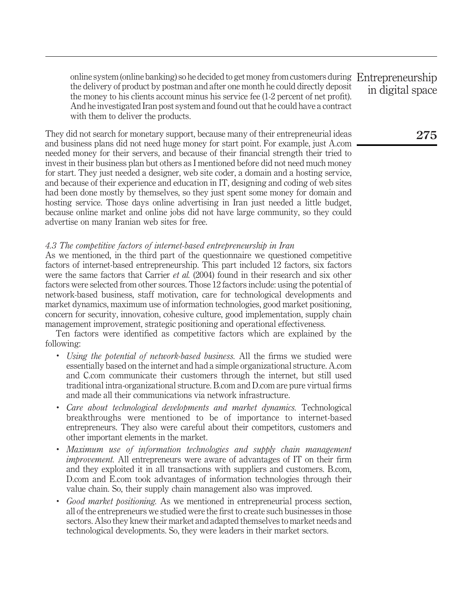online system (online banking) so he decided to get money from customers during Entrepreneurship the delivery of product by postman and after one month he could directly deposit the money to his clients account minus his service fee (1-2 percent of net profit). And he investigated Iran post system and found out that he could have a contract with them to deliver the products.

They did not search for monetary support, because many of their entrepreneurial ideas and business plans did not need huge money for start point. For example, just A.com needed money for their servers, and because of their financial strength their tried to invest in their business plan but others as I mentioned before did not need much money for start. They just needed a designer, web site coder, a domain and a hosting service, and because of their experience and education in IT, designing and coding of web sites had been done mostly by themselves, so they just spent some money for domain and hosting service. Those days online advertising in Iran just needed a little budget, because online market and online jobs did not have large community, so they could advertise on many Iranian web sites for free.

#### 4.3 The competitive factors of internet-based entrepreneurship in Iran

As we mentioned, in the third part of the questionnaire we questioned competitive factors of internet-based entrepreneurship. This part included 12 factors, six factors were the same factors that Carrier *et al.* (2004) found in their research and six other factors were selected from other sources. Those 12 factors include: using the potential of network-based business, staff motivation, care for technological developments and market dynamics, maximum use of information technologies, good market positioning, concern for security, innovation, cohesive culture, good implementation, supply chain management improvement, strategic positioning and operational effectiveness.

Ten factors were identified as competitive factors which are explained by the following:

- . Using the potential of network-based business. All the firms we studied were essentially based on the internet and had a simple organizational structure. A.com and C.com communicate their customers through the internet, but still used traditional intra-organizational structure. B.com and D.com are pure virtual firms and made all their communications via network infrastructure.
- . Care about technological developments and market dynamics. Technological breakthroughs were mentioned to be of importance to internet-based entrepreneurs. They also were careful about their competitors, customers and other important elements in the market.
- . Maximum use of information technologies and supply chain management improvement. All entrepreneurs were aware of advantages of IT on their firm and they exploited it in all transactions with suppliers and customers. B.com, D.com and E.com took advantages of information technologies through their value chain. So, their supply chain management also was improved.
- . Good market positioning. As we mentioned in entrepreneurial process section, all of the entrepreneurs we studied were the first to create such businesses in those sectors. Also they knew their market and adapted themselves to market needs and technological developments. So, they were leaders in their market sectors.

in digital space

275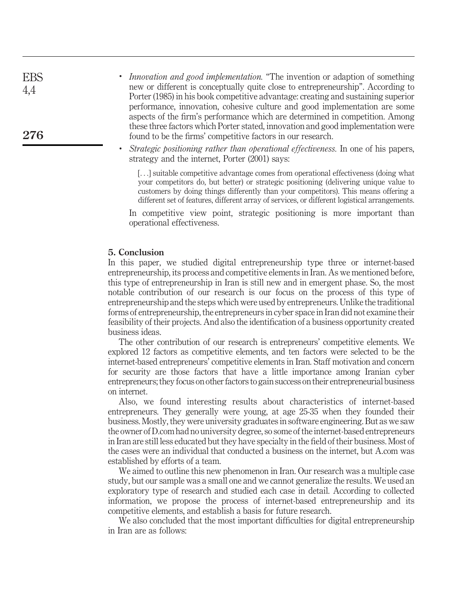| • <i>Innovation and good implementation</i> . "The invention or adaption of something |
|---------------------------------------------------------------------------------------|
| new or different is conceptually quite close to entrepreneurship". According to       |
| Porter (1985) in his book competitive advantage: creating and sustaining superior     |
| performance, innovation, cohesive culture and good implementation are some            |
| aspects of the firm's performance which are determined in competition. Among          |
| these three factors which Porter stated, innovation and good implementation were      |
| found to be the firms' competitive factors in our research.                           |

Strategic positioning rather than operational effectiveness. In one of his papers, strategy and the internet, Porter (2001) says:

[...] suitable competitive advantage comes from operational effectiveness (doing what your competitors do, but better) or strategic positioning (delivering unique value to customers by doing things differently than your competitors). This means offering a different set of features, different array of services, or different logistical arrangements.

In competitive view point, strategic positioning is more important than operational effectiveness.

#### 5. Conclusion

EBS 4,4

276

In this paper, we studied digital entrepreneurship type three or internet-based entrepreneurship, its process and competitive elements in Iran. As we mentioned before, this type of entrepreneurship in Iran is still new and in emergent phase. So, the most notable contribution of our research is our focus on the process of this type of entrepreneurship and the steps which were used by entrepreneurs. Unlike the traditional forms of entrepreneurship, the entrepreneurs in cyber space in Iran did not examine their feasibility of their projects. And also the identification of a business opportunity created business ideas.

The other contribution of our research is entrepreneurs' competitive elements. We explored 12 factors as competitive elements, and ten factors were selected to be the internet-based entrepreneurs' competitive elements in Iran. Staff motivation and concern for security are those factors that have a little importance among Iranian cyber entrepreneurs; they focus on other factors to gain success on their entrepreneurial business on internet.

Also, we found interesting results about characteristics of internet-based entrepreneurs. They generally were young, at age 25-35 when they founded their business. Mostly, they were university graduates in software engineering. But as we saw the owner of D.com had no university degree, so some of the internet-based entrepreneurs in Iran are still less educated but they have specialty in the field of their business. Most of the cases were an individual that conducted a business on the internet, but A.com was established by efforts of a team.

We aimed to outline this new phenomenon in Iran. Our research was a multiple case study, but our sample was a small one and we cannot generalize the results. We used an exploratory type of research and studied each case in detail. According to collected information, we propose the process of internet-based entrepreneurship and its competitive elements, and establish a basis for future research.

We also concluded that the most important difficulties for digital entrepreneurship in Iran are as follows: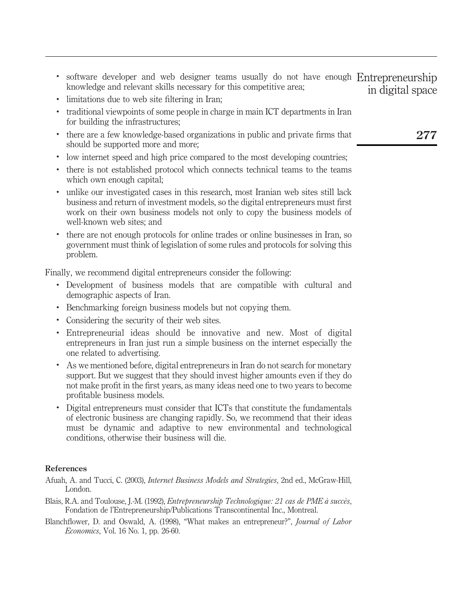- . software developer and web designer teams usually do not have enough Entrepreneurship knowledge and relevant skills necessary for this competitive area; in digital space
- . limitations due to web site filtering in Iran;
- . traditional viewpoints of some people in charge in main ICT departments in Iran for building the infrastructures;
- . there are a few knowledge-based organizations in public and private firms that should be supported more and more;
- . low internet speed and high price compared to the most developing countries;
- . there is not established protocol which connects technical teams to the teams which own enough capital;
- . unlike our investigated cases in this research, most Iranian web sites still lack business and return of investment models, so the digital entrepreneurs must first work on their own business models not only to copy the business models of well-known web sites; and
- . there are not enough protocols for online trades or online businesses in Iran, so government must think of legislation of some rules and protocols for solving this problem.

Finally, we recommend digital entrepreneurs consider the following:

- . Development of business models that are compatible with cultural and demographic aspects of Iran.
- . Benchmarking foreign business models but not copying them.
- . Considering the security of their web sites.
- . Entrepreneurial ideas should be innovative and new. Most of digital entrepreneurs in Iran just run a simple business on the internet especially the one related to advertising.
- . As we mentioned before, digital entrepreneurs in Iran do not search for monetary support. But we suggest that they should invest higher amounts even if they do not make profit in the first years, as many ideas need one to two years to become profitable business models.
- . Digital entrepreneurs must consider that ICTs that constitute the fundamentals of electronic business are changing rapidly. So, we recommend that their ideas must be dynamic and adaptive to new environmental and technological conditions, otherwise their business will die.

#### References

Afuah, A. and Tucci, C. (2003), Internet Business Models and Strategies, 2nd ed., McGraw-Hill, London.

- Blais, R.A. and Toulouse, J.-M. (1992), *Entrepreneurship Technologique: 21 cas de PME à succès*, Fondation de l'Entrepreneurship/Publications Transcontinental Inc., Montreal.
- Blanchflower, D. and Oswald, A. (1998), "What makes an entrepreneur?", Journal of Labor Economics, Vol. 16 No. 1, pp. 26-60.

277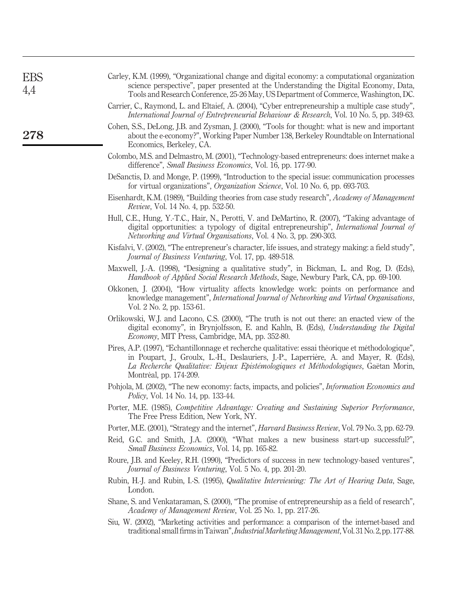| <b>EBS</b><br>4,4 | Carley, K.M. (1999), "Organizational change and digital economy: a computational organization<br>science perspective", paper presented at the Understanding the Digital Economy, Data,<br>Tools and Research Conference, 25-26 May, US Department of Commerce, Washington, DC.                                |
|-------------------|---------------------------------------------------------------------------------------------------------------------------------------------------------------------------------------------------------------------------------------------------------------------------------------------------------------|
|                   | Carrier, C., Raymond, L. and Eltaief, A. (2004), "Cyber entrepreneurship a multiple case study",<br>International Journal of Entrepreneurial Behaviour & Research, Vol. 10 No. 5, pp. 349-63.                                                                                                                 |
| 278               | Cohen, S.S., DeLong, J.B. and Zysman, J. (2000), "Tools for thought: what is new and important<br>about the e-economy?", Working Paper Number 138, Berkeley Roundtable on International<br>Economics, Berkeley, CA.                                                                                           |
|                   | Colombo, M.S. and Delmastro, M. (2001), "Technology-based entrepreneurs: does internet make a<br>difference", <i>Small Business Economics</i> , Vol. 16, pp. 177-90.                                                                                                                                          |
|                   | DeSanctis, D. and Monge, P. (1999), "Introduction to the special issue: communication processes<br>for virtual organizations", Organization Science, Vol. 10 No. 6, pp. 693-703.                                                                                                                              |
|                   | Eisenhardt, K.M. (1989), "Building theories from case study research", Academy of Management<br><i>Review</i> , Vol. 14 No. 4, pp. 532-50.                                                                                                                                                                    |
|                   | Hull, C.E., Hung, Y.-T.C., Hair, N., Perotti, V. and DeMartino, R. (2007), "Taking advantage of<br>digital opportunities: a typology of digital entrepreneurship", <i>International Journal of</i><br>Networking and Virtual Organisations, Vol. 4 No. 3, pp. 290-303.                                        |
|                   | Kisfalvi, V. (2002), "The entrepreneur's character, life issues, and strategy making: a field study",<br>Journal of Business Venturing, Vol. 17, pp. 489-518.                                                                                                                                                 |
|                   | Maxwell, J.-A. (1998), "Designing a qualitative study", in Bickman, L. and Rog, D. (Eds),<br>Handbook of Applied Social Research Methods, Sage, Newbury Park, CA, pp. 69-100.                                                                                                                                 |
|                   | Okkonen, J. (2004), "How virtuality affects knowledge work: points on performance and<br>knowledge management", International Journal of Networking and Virtual Organisations,<br>Vol. 2 No. 2, pp. 153-61.                                                                                                   |
|                   | Orlikowski, W.J. and Lacono, C.S. (2000), "The truth is not out there: an enacted view of the<br>digital economy", in Brynjolfsson, E. and Kahln, B. (Eds), Understanding the Digital<br>Economy, MIT Press, Cambridge, MA, pp. 352-80.                                                                       |
|                   | Pires, A.P. (1997), "Echantillonnage et recherche qualitative: essai théorique et méthodologique",<br>in Poupart, J., Groulx, L.-H., Deslauriers, J.-P., Laperrière, A. and Mayer, R. (Eds),<br>La Recherche Qualitative: Enjeux Epistémologiques et Méthodologiques, Gaëtan Morin,<br>Montréal, pp. 174-209. |
|                   | Pohjola, M. (2002), "The new economy: facts, impacts, and policies", <i>Information Economics and</i><br><i>Policy</i> , Vol. 14 No. 14, pp. 133-44.                                                                                                                                                          |
|                   | Porter, M.E. (1985), Competitive Advantage: Creating and Sustaining Superior Performance,<br>The Free Press Edition, New York, NY.                                                                                                                                                                            |
|                   | Porter, M.E. (2001), "Strategy and the internet", <i>Harvard Business Review</i> , Vol. 79 No. 3, pp. 62-79.                                                                                                                                                                                                  |
|                   | Reid, G.C. and Smith, J.A. (2000), "What makes a new business start-up successful?",<br>Small Business Economics, Vol. 14, pp. 165-82.                                                                                                                                                                        |
|                   | Roure, J.B. and Keeley, R.H. (1990), "Predictors of success in new technology-based ventures",<br>Journal of Business Venturing, Vol. 5 No. 4, pp. 201-20.                                                                                                                                                    |
|                   | Rubin, H.-J. and Rubin, I.-S. (1995), Qualitative Interviewing: The Art of Hearing Data, Sage,<br>London.                                                                                                                                                                                                     |
|                   | Shane, S. and Venkataraman, S. (2000), "The promise of entrepreneurship as a field of research",<br>Academy of Management Review, Vol. 25 No. 1, pp. 217-26.                                                                                                                                                  |
|                   | Siu, W. (2002), "Marketing activities and performance: a comparison of the internet-based and<br>traditional small firms in Taiwan", <i>Industrial Marketing Management</i> , Vol. 31 No. 2, pp. 177-88.                                                                                                      |
|                   |                                                                                                                                                                                                                                                                                                               |